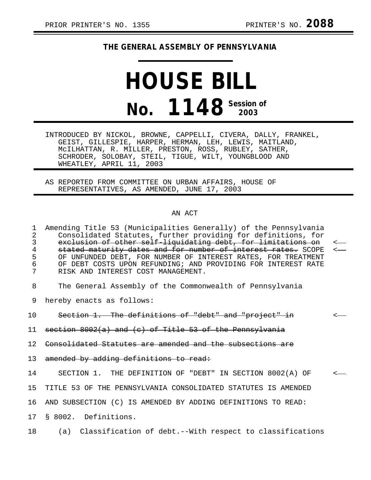## **THE GENERAL ASSEMBLY OF PENNSYLVANIA**

## **HOUSE BILL No. 1148 Session of 2003**

INTRODUCED BY NICKOL, BROWNE, CAPPELLI, CIVERA, DALLY, FRANKEL, GEIST, GILLESPIE, HARPER, HERMAN, LEH, LEWIS, MAITLAND, McILHATTAN, R. MILLER, PRESTON, ROSS, RUBLEY, SATHER, SCHRODER, SOLOBAY, STEIL, TIGUE, WILT, YOUNGBLOOD AND WHEATLEY, APRIL 11, 2003

AS REPORTED FROM COMMITTEE ON URBAN AFFAIRS, HOUSE OF REPRESENTATIVES, AS AMENDED, JUNE 17, 2003

## AN ACT

1 Amending Title 53 (Municipalities Generally) of the Pennsylvania 2 Consolidated Statutes, further providing for definitions, for<br>3 exclusion of other self liquidating debt, for limitations on 3 exclusion of other self-liquidating debt, for limitations on<br>4 stated maturity dates and for number of interest rates. SCOPE 4 stated maturity dates and for number of interest rates. SCOPE<br>5 OF UNFUNDED DEBT, FOR NUMBER OF INTEREST RATES, FOR TREATMENT OF UNFUNDED DEBT, FOR NUMBER OF INTEREST RATES, FOR TREATMENT 6 OF DEBT COSTS UPON REFUNDING; AND PROVIDING FOR INTEREST RATE RISK AND INTEREST COST MANAGEMENT. 8 The General Assembly of the Commonwealth of Pennsylvania 9 hereby enacts as follows: 10 Section 1. The definitions of "debt" and "project" in 11 section 8002(a) and (c) of Title 53 of the Pennsylvania 12 Consolidated Statutes are amended and the subsections are 13 amended by adding definitions to read: 14 SECTION 1. THE DEFINITION OF "DEBT" IN SECTION 8002(A) OF < 15 TITLE 53 OF THE PENNSYLVANIA CONSOLIDATED STATUTES IS AMENDED 16 AND SUBSECTION (C) IS AMENDED BY ADDING DEFINITIONS TO READ: 17 § 8002. Definitions. 18 (a) Classification of debt.--With respect to classifications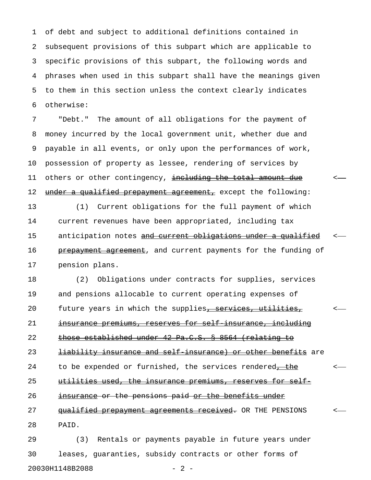1 of debt and subject to additional definitions contained in 2 subsequent provisions of this subpart which are applicable to 3 specific provisions of this subpart, the following words and 4 phrases when used in this subpart shall have the meanings given 5 to them in this section unless the context clearly indicates 6 otherwise:

7 "Debt." The amount of all obligations for the payment of 8 money incurred by the local government unit, whether due and 9 payable in all events, or only upon the performances of work, 10 possession of property as lessee, rendering of services by 11 others or other contingency, including the total amount due 12 under a qualified prepayment agreement, except the following: 13 (1) Current obligations for the full payment of which 14 current revenues have been appropriated, including tax 15 anticipation notes and current obligations under a qualified 16 prepayment agreement, and current payments for the funding of

17 pension plans.

18 (2) Obligations under contracts for supplies, services 19 and pensions allocable to current operating expenses of 20 future years in which the supplies, services, utilities, 21 insurance premiums, reserves for self insurance, including 22 those established under 42 Pa.C.S. § 8564 (relating to 23 liability insurance and self-insurance) or other benefits are 24 to be expended or furnished, the services rendered<del>, the</del> <-25 utilities used, the insurance premiums, reserves for self-26 insurance or the pensions paid or the benefits under 27 qualified prepayment agreements received. OR THE PENSIONS 28 PAID.

29 (3) Rentals or payments payable in future years under 30 leases, guaranties, subsidy contracts or other forms of 20030H1148B2088 - 2 -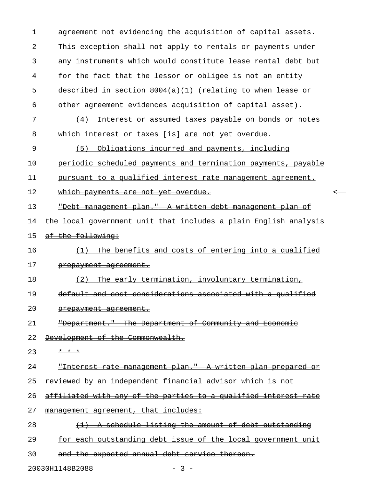1 agreement not evidencing the acquisition of capital assets. 2 This exception shall not apply to rentals or payments under 3 any instruments which would constitute lease rental debt but 4 for the fact that the lessor or obligee is not an entity 5 described in section 8004(a)(1) (relating to when lease or 6 other agreement evidences acquisition of capital asset).

7 (4) Interest or assumed taxes payable on bonds or notes 8 which interest or taxes [is] are not yet overdue.

9 (5) Obligations incurred and payments, including

10 periodic scheduled payments and termination payments, payable

11 pursuant to a qualified interest rate management agreement.

12 which payments are not yet overdue.

13 "Debt management plan." A written debt management plan of \_\_\_\_\_\_\_\_\_\_\_\_\_\_\_\_\_\_\_\_\_\_\_\_\_\_\_\_\_\_\_\_\_\_\_\_\_\_\_\_\_\_\_\_\_\_\_\_\_\_\_\_\_\_\_\_\_\_

14 the local government unit that includes a plain English analysis

15 of the following:

16  $(1)$  The benefits and costs of entering into a qualified 17 prepayment agreement.

18 (2) The early termination, involuntary termination,

19 default and cost considerations associated with a qualified

20 prepayment agreement.

21 - Pepartment." The Department of Community and Economic

- 22 Development of the Commonwealth.
- $23 \times x \times x$

24 "Interest rate management plan." A written plan prepared or \_\_\_\_\_\_\_\_\_\_\_\_\_\_\_\_\_\_\_\_\_\_\_\_\_\_\_\_\_\_\_\_\_\_\_\_\_\_\_\_\_\_\_\_\_\_\_\_\_\_\_\_\_\_\_\_\_\_\_\_

25 reviewed by an independent financial advisor which is not

26 affiliated with any of the parties to a qualified interest rate

27 management agreement, that includes:

28  $(1)$  A schedule listing the amount of debt outstanding

29 for each outstanding debt issue of the local government unit

30 and the expected annual debt service thereon.

20030H1148B2088 - 3 -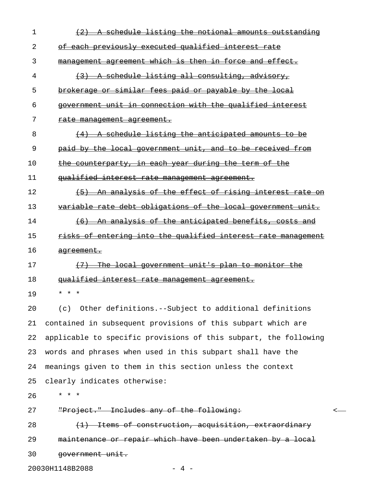| $\mathbf 1$ | A schedule listing the notional amounts outstanding<br>$+2$          |
|-------------|----------------------------------------------------------------------|
| 2           | of each previously executed qualified interest rate                  |
| 3           | management agreement which is then in force and effect.              |
| 4           | A schedule listing all consulting, advisory,<br>(3)                  |
| 5           | brokerage or similar fees paid or payable by the local               |
| 6           | government unit in connection with the qualified interest            |
| 7           | <del>rate management agreement.</del>                                |
| 8           | A schedule listing the anticipated amounts to be<br>$\left(4\right)$ |
| 9           | paid by the local government unit, and to be received from           |
| 10          | the counterparty, in each year during the term of the                |
| 11          | qualified interest rate management agreement.                        |
| 12          | (5) An analysis of the effect of rising interest rate on             |
| 13          | variable rate debt obligations of the local government unit.         |
| 14          | (6) An analysis of the anticipated benefits, costs and               |
| 15          | risks of entering into the qualified interest rate management        |
| 16          | <del>agreement.</del>                                                |
| 17          | (7) The local government unit's plan to monitor the                  |
| 18          | qualified interest rate management agreement.                        |
| 19          | $^{\star}$<br>$\star$<br>$\star$                                     |
| 20          | Other definitions.--Subject to additional definitions<br>(c)         |
| 21          | contained in subsequent provisions of this subpart which are         |
| 22          | applicable to specific provisions of this subpart, the following     |
| 23          | words and phrases when used in this subpart shall have the           |
| 24          | meanings given to them in this section unless the context            |
| 25          | clearly indicates otherwise:                                         |
| 26          | $\star$ $\star$ $\star$                                              |
| 27          | "Project." Includes any of the following:<br><                       |
| 28          | (1) Items of construction, acquisition, extraordinary                |
| 29          | maintenance or repair which have been undertaken by a local          |
| 30          | government unit.                                                     |

20030H1148B2088 - 4 -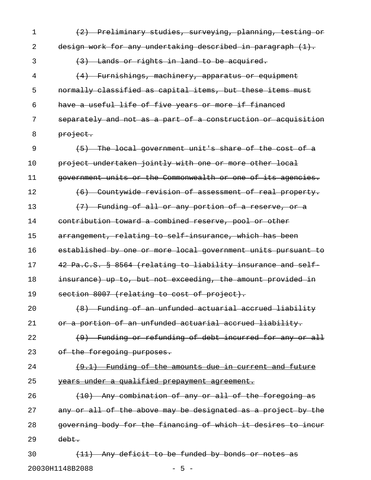1 (2) Preliminary studies, surveying, planning, testing or 2 design work for any undertaking described in paragraph (1). 3 (3) Lands or rights in land to be acquired. 4 (4) Furnishings, machinery, apparatus or equipment 5 normally classified as capital items, but these items must 6 have a useful life of five years or more if financed 7 separately and not as a part of a construction or acquisition 8 <del>project.</del> 9 (5) The local government unit's share of the cost of a 10 project undertaken jointly with one or more other local 11 government units or the Commonwealth or one of its agencies. 12 (6) Countywide revision of assessment of real property. 13  $(7)$  Funding of all or any portion of a reserve, or a 14 contribution toward a combined reserve, pool or other 15 arrangement, relating to self-insurance, which has been 16 established by one or more local government units pursuant to 17 42 Pa.C.S. § 8564 (relating to liability insurance and self-18 insurance) up to, but not exceeding, the amount provided in 19 section 8007 (relating to cost of project). 20 (8) Funding of an unfunded actuarial accrued liability 21 or a portion of an unfunded actuarial accrued liability. 22 (9) Funding or refunding of debt incurred for any or all 23 of the foregoing purposes. 24 (9.1) Funding of the amounts due in current and future 25 vears under a qualified prepayment agreement. 26 (10) Any combination of any or all of the foregoing as 27 any or all of the above may be designated as a project by the 28 governing body for the financing of which it desires to incur 29 debt. 30 (11) Any deficit to be funded by bonds or notes as

20030H1148B2088 - 5 -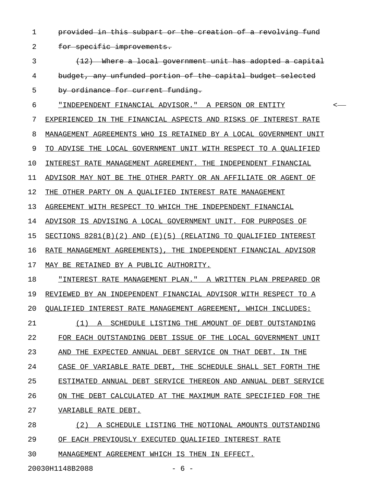- 1 provided in this subpart or the creation of a revolving fund
- 2 for specific improvements.
- $\{12\}$  Where a local government unit has adopted a capital 4 budget, any unfunded portion of the capital budget selected 5 by ordinance for current funding.
- 6 "INDEPENDENT FINANCIAL ADVISOR." A PERSON OR ENTITY < \_\_\_\_\_\_\_\_\_\_\_\_\_\_\_\_\_\_\_\_\_\_\_\_\_\_\_\_\_\_\_\_\_\_\_\_\_\_\_\_\_\_\_\_\_\_\_\_\_\_\_\_
- 7 EXPERIENCED IN THE FINANCIAL ASPECTS AND RISKS OF INTEREST RATE
- 8 MANAGEMENT AGREEMENTS WHO IS RETAINED BY A LOCAL GOVERNMENT UNIT
- 9 TO ADVISE THE LOCAL GOVERNMENT UNIT WITH RESPECT TO A QUALIFIED
- 10 INTEREST RATE MANAGEMENT AGREEMENT. THE INDEPENDENT FINANCIAL
- 11 ADVISOR MAY NOT BE THE OTHER PARTY OR AN AFFILIATE OR AGENT OF
- 12 THE OTHER PARTY ON A QUALIFIED INTEREST RATE MANAGEMENT
- 13 AGREEMENT WITH RESPECT TO WHICH THE INDEPENDENT FINANCIAL
- 14 ADVISOR IS ADVISING A LOCAL GOVERNMENT UNIT. FOR PURPOSES OF
- 15 <u>SECTIONS 8281(B)(2) AND (E)(5) (RELATING TO QUALIFIED INTEREST</u>
- 16 RATE MANAGEMENT AGREEMENTS), THE INDEPENDENT FINANCIAL ADVISOR
- 17 MAY BE RETAINED BY A PUBLIC AUTHORITY.
- 18 "INTEREST RATE MANAGEMENT PLAN." A WRITTEN PLAN PREPARED OR 19 REVIEWED BY AN INDEPENDENT FINANCIAL ADVISOR WITH RESPECT TO A 20 QUALIFIED INTEREST RATE MANAGEMENT AGREEMENT, WHICH INCLUDES:
- 21 (1) A SCHEDULE LISTING THE AMOUNT OF DEBT OUTSTANDING 22 FOR EACH OUTSTANDING DEBT ISSUE OF THE LOCAL GOVERNMENT UNIT 23 AND THE EXPECTED ANNUAL DEBT SERVICE ON THAT DEBT. IN THE 24 CASE OF VARIABLE RATE DEBT, THE SCHEDULE SHALL SET FORTH THE
- 25 ESTIMATED ANNUAL DEBT SERVICE THEREON AND ANNUAL DEBT SERVICE
- 26 ON THE DEBT CALCULATED AT THE MAXIMUM RATE SPECIFIED FOR THE
- 27 VARIABLE RATE DEBT.
- 28 (2) A SCHEDULE LISTING THE NOTIONAL AMOUNTS OUTSTANDING 29 OF EACH PREVIOUSLY EXECUTED QUALIFIED INTEREST RATE
- 30 MANAGEMENT AGREEMENT WHICH IS THEN IN EFFECT.

20030H1148B2088 - 6 -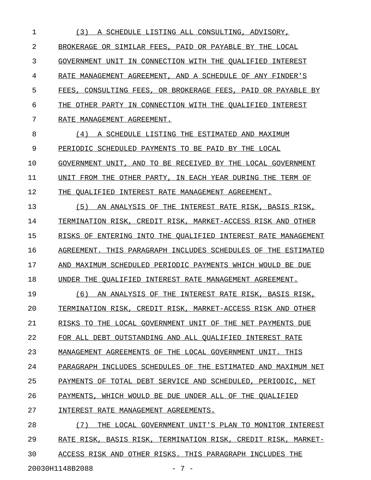1 (3) A SCHEDULE LISTING ALL CONSULTING, ADVISORY, 2 BROKERAGE OR SIMILAR FEES, PAID OR PAYABLE BY THE LOCAL 3 GOVERNMENT UNIT IN CONNECTION WITH THE OUALIFIED INTEREST 4 RATE MANAGEMENT AGREEMENT, AND A SCHEDULE OF ANY FINDER'S 5 FEES, CONSULTING FEES, OR BROKERAGE FEES, PAID OR PAYABLE BY 6 THE OTHER PARTY IN CONNECTION WITH THE QUALIFIED INTEREST 7 RATE MANAGEMENT AGREEMENT. 8 (4) A SCHEDULE LISTING THE ESTIMATED AND MAXIMUM 9 PERIODIC SCHEDULED PAYMENTS TO BE PAID BY THE LOCAL 10 GOVERNMENT UNIT, AND TO BE RECEIVED BY THE LOCAL GOVERNMENT 11 UNIT FROM THE OTHER PARTY, IN EACH YEAR DURING THE TERM OF 12 THE QUALIFIED INTEREST RATE MANAGEMENT AGREEMENT. 13 (5) AN ANALYSIS OF THE INTEREST RATE RISK, BASIS RISK, 14 TERMINATION RISK, CREDIT RISK, MARKET-ACCESS RISK AND OTHER 15 RISKS OF ENTERING INTO THE QUALIFIED INTEREST RATE MANAGEMENT 16 AGREEMENT. THIS PARAGRAPH INCLUDES SCHEDULES OF THE ESTIMATED 17 AND MAXIMUM SCHEDULED PERIODIC PAYMENTS WHICH WOULD BE DUE 18 UNDER THE QUALIFIED INTEREST RATE MANAGEMENT AGREEMENT. 19 (6) AN ANALYSIS OF THE INTEREST RATE RISK, BASIS RISK, 20 TERMINATION RISK, CREDIT RISK, MARKET-ACCESS RISK AND OTHER 21 RISKS TO THE LOCAL GOVERNMENT UNIT OF THE NET PAYMENTS DUE 22 FOR ALL DEBT OUTSTANDING AND ALL QUALIFIED INTEREST RATE 23 MANAGEMENT AGREEMENTS OF THE LOCAL GOVERNMENT UNIT. THIS 24 PARAGRAPH INCLUDES SCHEDULES OF THE ESTIMATED AND MAXIMUM NET 25 PAYMENTS OF TOTAL DEBT SERVICE AND SCHEDULED, PERIODIC, NET 26 PAYMENTS, WHICH WOULD BE DUE UNDER ALL OF THE QUALIFIED 27 INTEREST RATE MANAGEMENT AGREEMENTS. 28 (7) THE LOCAL GOVERNMENT UNIT'S PLAN TO MONITOR INTEREST 29 RATE RISK, BASIS RISK, TERMINATION RISK, CREDIT RISK, MARKET-30 ACCESS RISK AND OTHER RISKS. THIS PARAGRAPH INCLUDES THE

20030H1148B2088 - 7 -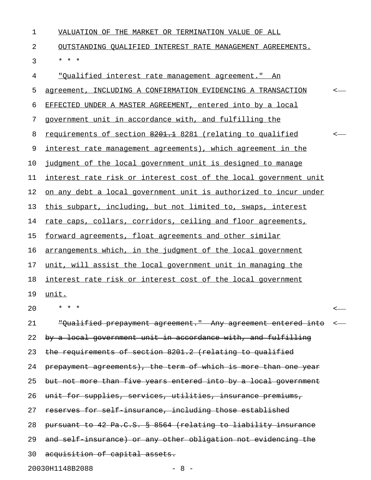| $\mathbf 1$ | VALUATION OF THE MARKET OR TERMINATION VALUE OF ALL                     |                          |
|-------------|-------------------------------------------------------------------------|--------------------------|
| 2           | OUTSTANDING OUALIFIED INTEREST RATE MANAGEMENT AGREEMENTS.              |                          |
| 3           | * * *                                                                   |                          |
| 4           | <u>"Oualified interest rate management agreement." An</u>               |                          |
| 5           | agreement, INCLUDING A CONFIRMATION EVIDENCING A TRANSACTION            | $\overline{\phantom{a}}$ |
| 6           | EFFECTED UNDER A MASTER AGREEMENT, entered into by a local              |                          |
| 7           | government unit in accordance with, and fulfilling the                  |                          |
| 8           | requirements of section 8201.1 8281 (relating to qualified              | $\leftarrow$             |
| 9           | interest rate management agreements), which agreement in the            |                          |
| 10          | judgment of the local government unit is designed to manage             |                          |
| 11          | interest rate risk or interest cost of the local government unit        |                          |
| 12          | <u>on any debt a local government unit is authorized to incur under</u> |                          |
| 13          | this subpart, including, but not limited to, swaps, interest            |                          |
| 14          | rate caps, collars, corridors, ceiling and floor agreements,            |                          |
| 15          | forward agreements, float agreements and other similar                  |                          |
| 16          | arrangements which, in the judgment of the local government             |                          |
| 17          | unit, will assist the local government unit in managing the             |                          |
| 18          | interest rate risk or interest cost of the local government             |                          |
| 19          | unit.                                                                   |                          |
| 20          | * * *                                                                   |                          |
| 21          | "Qualified prepayment agreement." Any agreement entered into            | $\longleftarrow$         |
| 22          | by a local government unit in accordance with, and fulfilling           |                          |
| 23          | the requirements of section 8201.2 (relating to qualified               |                          |
| 24          | prepayment agreements), the term of which is more than one year         |                          |
| 25          | but not more than five years entered into by a local government         |                          |
| 26          | unit for supplies, services, utilities, insurance premiums,             |                          |
| 27          | reserves for self insurance, including those established                |                          |
| 28          | pursuant to 42 Pa.C.S. § 8564 (relating to liability insurance          |                          |
| 29          | and self insurance) or any other obligation not evidencing the          |                          |
| 30          | acquisition of capital assets.                                          |                          |

20030H1148B2088 - 8 -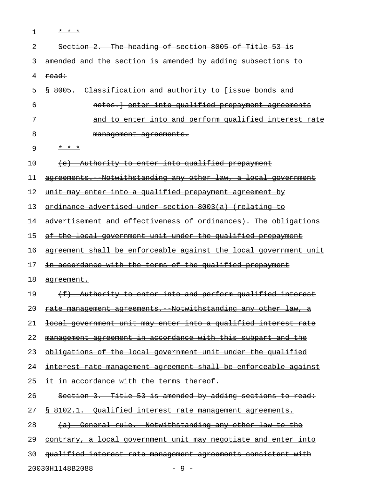| $\mathbf 1$ | * * *                                                               |
|-------------|---------------------------------------------------------------------|
| 2           | Section 2. The heading of section 8005 of Title 53 is               |
| 3           | amended and the section is amended by adding subsections to         |
| 4           | read:                                                               |
| 5           | 8005. Classification and authority to [issue bonds and              |
| 6           | notes.] enter into qualified prepayment agreements                  |
| 7           | <u>and to enter into and perform qualified interest rate</u>        |
| 8           | management agreements.                                              |
| 9           | * * *                                                               |
| 10          | (e) Authority to enter into qualified prepayment                    |
| 11          | agreements. Notwithstanding any other law, a local government       |
| 12          | <u>unit may enter into a qualified prepayment agreement by</u>      |
| 13          | ordinance advertised under section 8003(a) (relating to             |
| 14          | advertisement and effectiveness of ordinances). The obligations     |
| 15          | of the local government unit under the qualified prepayment         |
| 16          | agreement shall be enforceable against the local government unit    |
| 17          | in accordance with the terms of the qualified prepayment            |
| 18          | <del>agreement.</del>                                               |
| 19          | (f) Authority to enter into and perform qualified interest          |
| 20          | <u>rate management agreements. Notwithstanding any other law, a</u> |
| 21          | local government unit may enter into a qualified interest rate      |
| 22          | management agreement in accordance with this subpart and the        |
| 23          | obligations of the local government unit under the qualified        |
| 24          | interest rate management agreement shall be enforceable against     |
| 25          | it in accordance with the terms thereof.                            |
| 26          | Section 3. Title 53 is amended by adding sections to read:          |
| 27          | § 8102.1. Qualified interest rate management agreements.            |
| 28          | (a) General rule. Notwithstanding any other law to the              |
| 29          | contrary, a local government unit may negotiate and enter into      |
| 30          | gualified interest rate management agreements consistent with       |
|             | 20030H1148B2088<br>$-9-$                                            |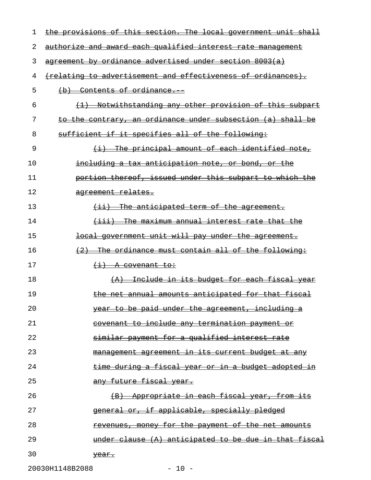| 1  | the provisions of this section. The local government unit shall                 |
|----|---------------------------------------------------------------------------------|
| 2  | authorize and award each qualified interest rate management                     |
| 3  | agreement by ordinance advertised under section 8003(a)                         |
| 4  | (relating to advertisement and effectiveness of ordinances).                    |
| 5  | (b) Contents of ordinance.                                                      |
| 6  | Notwithstanding any other provision of this subpart<br>$\leftarrow \rightarrow$ |
| 7  | to the contrary, an ordinance under subsection (a) shall<br>-be                 |
| 8  | sufficient if it specifies all of the following:                                |
| 9  | The principal amount of each identified note,<br>$\leftrightarrow$              |
| 10 | including a tax anticipation note, or bond, or the                              |
| 11 | portion thereof, issued under this subpart to which the                         |
| 12 | agreement relates.                                                              |
| 13 | The anticipated term of the agreement.<br>$\overline{+i}$                       |
| 14 | The maximum annual interest rate that the<br><del>(iii) -</del>                 |
| 15 | local government unit will pay under the agreement.                             |
| 16 | <del>The ordinance must contain all of the following:</del><br>(2)              |
| 17 | <del>(i) A covenant to:</del>                                                   |
| 18 | <u>Include in its budget for each fiscal year</u><br>(A)                        |
| 19 | the net annual amounts anticipated for that fiscal                              |
| 20 | <del>be paid under the agreement. including a</del><br><del>vear</del>          |
| 21 | covenant to include any termination payment or                                  |
| 22 | <u>similar payment for a qualified interest rate</u>                            |
| 23 | <u>management agreement in its current budget at any</u>                        |
| 24 | <u>time during a fiscal year or in a budget adopted in</u>                      |
| 25 | any future fiscal year.                                                         |
| 26 | Appropriate in each fiscal year, from its<br>$\left( \mathrm{B} \right)$        |
| 27 | <del>or, if applicable, specially pledged</del><br><del>qeneral</del>           |
| 28 | <u>revenues, money for the payment of the net amounts</u>                       |
| 29 | under clause (A) anticipated to be due in that fiscal                           |
| 30 | <del>year.</del>                                                                |
|    | 20030H1148B2088<br>$-10 -$                                                      |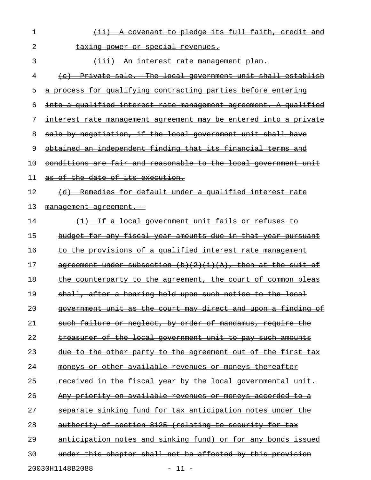| 1  | (ii) A covenant to pledge its full faith, credit and                                                                                                               |
|----|--------------------------------------------------------------------------------------------------------------------------------------------------------------------|
| 2  | taxing power or special revenues.                                                                                                                                  |
| 3  | (iii) An interest rate management plan.                                                                                                                            |
| 4  | (c) Private sale. The local government unit shall establish                                                                                                        |
| 5  | a process for qualifying contracting parties before entering                                                                                                       |
| 6  | into a qualified interest rate management agreement. A qualified                                                                                                   |
| 7  | interest rate management agreement may be entered into a private                                                                                                   |
| 8  | sale by negotiation, if the local government unit shall have                                                                                                       |
| 9  | obtained an independent finding that its financial terms and                                                                                                       |
| 10 | conditions are fair and reasonable to the local government unit                                                                                                    |
| 11 | as of the date of its execution.                                                                                                                                   |
| 12 | (d) Remedies for default under a qualified interest rate                                                                                                           |
| 13 | management agreement.                                                                                                                                              |
| 14 | (1) If a local government unit fails or refuses to                                                                                                                 |
| 15 | budget for any fiscal year amounts due in that year pursuant                                                                                                       |
| 16 | to the provisions of a qualified interest rate management                                                                                                          |
| 17 | agreement under subsection $(b)(2)(i)(A)$ , then at the suit of                                                                                                    |
| 18 | the counterparty to the agreement, the court of common pleas                                                                                                       |
| 19 | shall, after a hearing held upon such notice to the local                                                                                                          |
| 20 | <del>direct</del><br><del>the</del><br><del>findina</del><br>Θ£<br><del>and</del><br><del>court.</del><br><del>ma∨</del>                                           |
| 21 | or neglect, by order of mandamus, require<br><del>failure</del><br><del>such</del><br><del>the</del>                                                               |
| 22 | <u>of</u><br><del>local</del><br><del>such</del><br>the<br><del>qovernment unit</del><br>ŧо<br><del>pav</del><br><del>amounts</del>                                |
| 23 | first<br><del>the</del><br><del>other</del><br><del>the</del><br>−o£<br><del>the</del><br><del>party to</del><br>ŧΘ<br><del>-agreement out</del><br><del>tах</del> |
| 24 | <del>other available</del><br><del>thereafter</del><br><del>revenues or monevs</del><br>Θř                                                                         |
| 25 | <del>fiscal</del><br><del>the</del><br><del>by the</del><br><del>local</del><br><del>governmental</del><br><del>vear</del>                                         |
| 26 | <del>on available</del><br><del>accorded</del><br><del>prioritv</del><br><del>revenues</del><br>∙o<br><del>monevs</del><br><del>to a</del>                         |
| 27 | fund<br>for<br><del>sinkina</del><br><del>tax anticipation notes</del><br><del>under</del>                                                                         |
| 28 | section 8125<br><del>(relating</del><br>⊖£<br>for<br><del>authoritv</del><br><del>to security</del><br><del>tаx</del>                                              |
| 29 | anticipation notes and sinking fund)<br><del>for any</del><br><del>bonds -</del><br>−or<br><del>1ssued</del>                                                       |
| 30 | not be affected by this<br><del>shall</del><br><del>chapter</del><br><del>under</del><br><del>this</del><br><del>provision</del>                                   |
|    | 20030H1148B2088<br>$11 -$                                                                                                                                          |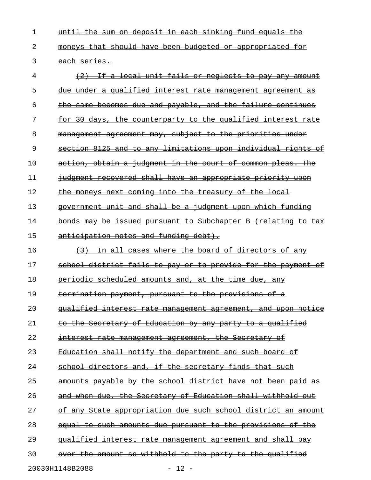1 until the sum on deposit in each sinking fund equals the 2 moneys that should have been budgeted or appropriated for 3 each series.

 $4$   $\longleftrightarrow$   $\{2\}$  If a local unit fails or neglects to pay any amount 5 due under a qualified interest rate management agreement as  $6$  the same becomes due and payable, and the failure continues 7 for 30 days, the counterparty to the qualified interest rate 8 management agreement may, subject to the priorities under 9 section 8125 and to any limitations upon individual rights of 10 action, obtain a judgment in the court of common pleas. The 11 judgment recovered shall have an appropriate priority upon 12 the moneys next coming into the treasury of the local 13 government unit and shall be a judgment upon which funding 14 bonds may be issued pursuant to Subchapter B (relating to tax 15 anticipation notes and funding debt).  $16$  (3) In all cases where the board of directors of any 17 school district fails to pay or to provide for the payment of 18 periodic scheduled amounts and, at the time due, any 19 termination payment, pursuant to the provisions of a 20 qualified interest rate management agreement, and upon notice 21 to the Secretary of Education by any party to a qualified 22 interest rate management agreement, the Secretary of 23 Education shall notify the department and such board of 24 school directors and, if the secretary finds that such 25 amounts payable by the school district have not been paid as 26 and when due, the Secretary of Education shall withhold out 27 of any State appropriation due such school district an amount 28 equal to such amounts due pursuant to the provisions of the 29 qualified interest rate management agreement and shall pay 30 over the amount so withheld to the party to the qualified

20030H1148B2088 - 12 -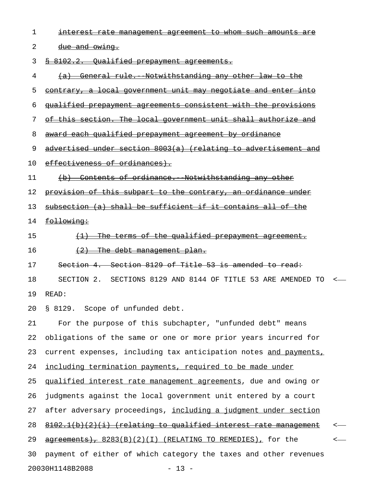| 1  | interest rate management agreement to whom such amounts are           |   |
|----|-----------------------------------------------------------------------|---|
| 2  | due and owing.                                                        |   |
| 3  | § 8102.2. Oualified prepayment agreements.                            |   |
| 4  | (a) General rule. Notwithstanding any other law to the                |   |
| 5  | <u>contrary, a local government unit may negotiate and enter into</u> |   |
| 6  | <u>qualified prepayment agreements consistent with the provisions</u> |   |
| 7  | of this section. The local government unit shall authorize and        |   |
| 8  | award each qualified prepayment agreement by ordinance                |   |
| 9  | advertised under section 8003(a) (relating to advertisement and       |   |
| 10 | effectiveness of ordinances).                                         |   |
| 11 | (b) Contents of ordinance. Notwithstanding any other                  |   |
| 12 | provision of this subpart to the contrary, an ordinance under         |   |
| 13 | subsection (a) shall be sufficient if it contains all of the          |   |
| 14 | following:                                                            |   |
| 15 | (1) The terms of the qualified prepayment agreement.                  |   |
| 16 | $\{2\}$ The debt management plan.                                     |   |
| 17 | Section 4. Section 8129 of Title 53 is amended to read:               |   |
| 18 | SECTION 2. SECTIONS 8129 AND 8144 OF TITLE 53 ARE AMENDED TO <        |   |
| 19 | READ:                                                                 |   |
| 20 | § 8129. Scope of unfunded debt.                                       |   |
| 21 | For the purpose of this subchapter, "unfunded debt" means             |   |
| 22 | obligations of the same or one or more prior years incurred for       |   |
| 23 | current expenses, including tax anticipation notes and payments,      |   |
| 24 | including termination payments, required to be made under             |   |
| 25 | qualified interest rate management agreements, due and owing or       |   |
| 26 | judgments against the local government unit entered by a court        |   |
| 27 | after adversary proceedings, including a judgment under section       |   |
| 28 | 8102.1(b)(2)(i) (relating to qualified interest rate management       |   |
| 29 | agreements), 8283(B)(2)(I) (RELATING TO REMEDIES), for the            | ≺ |
| 30 | payment of either of which category the taxes and other revenues      |   |
|    | 20030H1148B2088<br>$-13 -$                                            |   |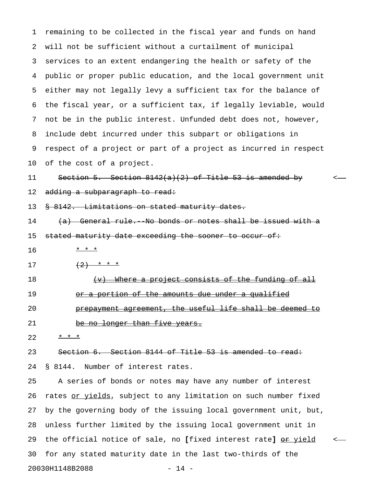1 remaining to be collected in the fiscal year and funds on hand 2 will not be sufficient without a curtailment of municipal 3 services to an extent endangering the health or safety of the 4 public or proper public education, and the local government unit 5 either may not legally levy a sufficient tax for the balance of 6 the fiscal year, or a sufficient tax, if legally leviable, would 7 not be in the public interest. Unfunded debt does not, however, 8 include debt incurred under this subpart or obligations in 9 respect of a project or part of a project as incurred in respect 10 of the cost of a project.

11 Section 5. Section  $8142(a)(2)$  of Title 53 is amended by 12 adding a subparagraph to read:

13 § 8142. Limitations on stated maturity dates.

14 (a) General rule. No bonds or notes shall be issued with a 15 stated maturity date exceeding the sooner to occur of:

- 16 \* \* \* \*
- 17  $(2)$  \* \* \*
- 18 (v) Where a project consists of the funding of all 19 or a portion of the amounts due under a qualified

20 **prepayment agreement, the useful life shall be deemed to** 21 be no longer than five years.

22  $* * *$ 

23 Section 6. Section 8144 of Title 53 is amended to read:

24 § 8144. Number of interest rates.

25 A series of bonds or notes may have any number of interest 26 rates or yields, subject to any limitation on such number fixed 27 by the governing body of the issuing local government unit, but, 28 unless further limited by the issuing local government unit in 29 the official notice of sale, no [fixed interest rate]  $or yield *•*$ </u> 30 for any stated maturity date in the last two-thirds of the 20030H1148B2088 - 14 -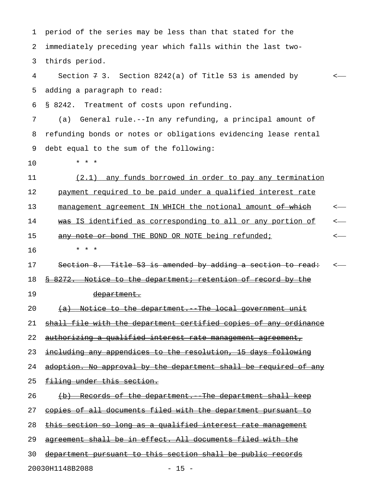1 period of the series may be less than that stated for the 2 immediately preceding year which falls within the last two-3 thirds period. 4 Section 7 3. Section 8242(a) of Title 53 is amended by < 5 adding a paragraph to read: 6 § 8242. Treatment of costs upon refunding. 7 (a) General rule.--In any refunding, a principal amount of 8 refunding bonds or notes or obligations evidencing lease rental 9 debt equal to the sum of the following: 10 \* \* \* 11 (2.1) any funds borrowed in order to pay any termination 12 payment required to be paid under a qualified interest rate 13 management agreement IN WHICH the notional amount of which  $\leftarrow$ 14 was IS identified as corresponding to all or any portion of  $\sim$ 15 any note or bond THE BOND OR NOTE being refunded;  $\leftarrow$ 16 \* \* \* 17 Section 8. Title 53 is amended by adding a section to read:  $\sim$ 18 § 8272. Notice to the department; retention of record by the 19 department. 20  $(a)$  Notice to the department. The local government unit 21 shall file with the department certified copies of any ordinance 22 authorizing a qualified interest rate management agreement, 23 including any appendices to the resolution, 15 days following 24 adoption. No approval by the department shall be required of any 25 filing under this section. 26 (b) Records of the department. The department shall keep 27 copies of all documents filed with the department pursuant to 28 this section so long as a qualified interest rate management 29 agreement shall be in effect. All documents filed with the 30 department pursuant to this section shall be public records

20030H1148B2088 - 15 -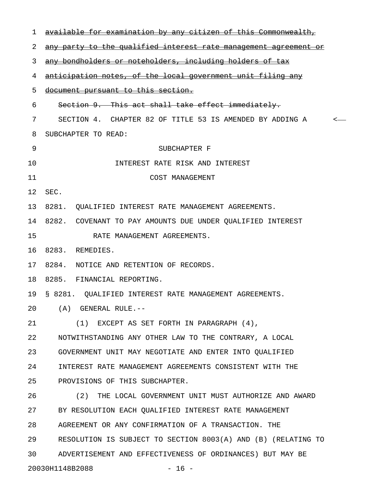| 1  | available for examination by any citizen of this Commonwealth,   |
|----|------------------------------------------------------------------|
| 2  | any party to the qualified interest rate management agreement or |
| 3  | any bondholders or notcholders, including holders of tax         |
| 4  | anticipation notes, of the local government unit filing any      |
| 5  | document pursuant to this section.                               |
| 6  | Section 9. This act shall take effect immediately.               |
| 7  | SECTION 4. CHAPTER 82 OF TITLE 53 IS AMENDED BY ADDING A         |
| 8  | SUBCHAPTER TO READ:                                              |
| 9  | SUBCHAPTER F                                                     |
| 10 | INTEREST RATE RISK AND INTEREST                                  |
| 11 | COST MANAGEMENT                                                  |
| 12 | SEC.                                                             |
| 13 | 8281. OUALIFIED INTEREST RATE MANAGEMENT AGREEMENTS.             |
| 14 | 8282. COVENANT TO PAY AMOUNTS DUE UNDER QUALIFIED INTEREST       |
| 15 | RATE MANAGEMENT AGREEMENTS.                                      |
| 16 | 8283. REMEDIES.                                                  |
| 17 | 8284. NOTICE AND RETENTION OF RECORDS.                           |
| 18 | 8285. FINANCIAL REPORTING.                                       |
| 19 | § 8281. OUALIFIED INTEREST RATE MANAGEMENT AGREEMENTS.           |
| 20 | (A) GENERAL RULE.--                                              |
| 21 | (1) EXCEPT AS SET FORTH IN PARAGRAPH (4),                        |
| 22 | NOTWITHSTANDING ANY OTHER LAW TO THE CONTRARY, A LOCAL           |
| 23 | GOVERNMENT UNIT MAY NEGOTIATE AND ENTER INTO QUALIFIED           |
| 24 | INTEREST RATE MANAGEMENT AGREEMENTS CONSISTENT WITH THE          |
| 25 | PROVISIONS OF THIS SUBCHAPTER.                                   |
| 26 | (2) THE LOCAL GOVERNMENT UNIT MUST AUTHORIZE AND AWARD           |
| 27 | BY RESOLUTION EACH QUALIFIED INTEREST RATE MANAGEMENT            |
| 28 | AGREEMENT OR ANY CONFIRMATION OF A TRANSACTION. THE              |
| 29 | RESOLUTION IS SUBJECT TO SECTION 8003(A) AND (B) (RELATING TO    |
| 30 | ADVERTISEMENT AND EFFECTIVENESS OF ORDINANCES) BUT MAY BE        |
|    | 20030H1148B2088<br>$-16 -$                                       |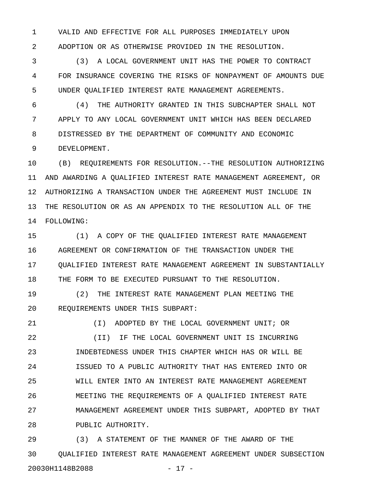1 VALID AND EFFECTIVE FOR ALL PURPOSES IMMEDIATELY UPON 2 ADOPTION OR AS OTHERWISE PROVIDED IN THE RESOLUTION.

3 (3) A LOCAL GOVERNMENT UNIT HAS THE POWER TO CONTRACT 4 FOR INSURANCE COVERING THE RISKS OF NONPAYMENT OF AMOUNTS DUE 5 UNDER QUALIFIED INTEREST RATE MANAGEMENT AGREEMENTS.

6 (4) THE AUTHORITY GRANTED IN THIS SUBCHAPTER SHALL NOT 7 APPLY TO ANY LOCAL GOVERNMENT UNIT WHICH HAS BEEN DECLARED 8 DISTRESSED BY THE DEPARTMENT OF COMMUNITY AND ECONOMIC 9 DEVELOPMENT.

10 (B) REQUIREMENTS FOR RESOLUTION.--THE RESOLUTION AUTHORIZING 11 AND AWARDING A QUALIFIED INTEREST RATE MANAGEMENT AGREEMENT, OR 12 AUTHORIZING A TRANSACTION UNDER THE AGREEMENT MUST INCLUDE IN 13 THE RESOLUTION OR AS AN APPENDIX TO THE RESOLUTION ALL OF THE 14 FOLLOWING:

15 (1) A COPY OF THE QUALIFIED INTEREST RATE MANAGEMENT 16 AGREEMENT OR CONFIRMATION OF THE TRANSACTION UNDER THE 17 QUALIFIED INTEREST RATE MANAGEMENT AGREEMENT IN SUBSTANTIALLY 18 THE FORM TO BE EXECUTED PURSUANT TO THE RESOLUTION.

19 (2) THE INTEREST RATE MANAGEMENT PLAN MEETING THE 20 REQUIREMENTS UNDER THIS SUBPART:

21 (I) ADOPTED BY THE LOCAL GOVERNMENT UNIT; OR 22 (II) IF THE LOCAL GOVERNMENT UNIT IS INCURRING 23 INDEBTEDNESS UNDER THIS CHAPTER WHICH HAS OR WILL BE 24 ISSUED TO A PUBLIC AUTHORITY THAT HAS ENTERED INTO OR 25 WILL ENTER INTO AN INTEREST RATE MANAGEMENT AGREEMENT 26 MEETING THE REQUIREMENTS OF A QUALIFIED INTEREST RATE 27 MANAGEMENT AGREEMENT UNDER THIS SUBPART, ADOPTED BY THAT 28 PUBLIC AUTHORITY.

29 (3) A STATEMENT OF THE MANNER OF THE AWARD OF THE 30 QUALIFIED INTEREST RATE MANAGEMENT AGREEMENT UNDER SUBSECTION 20030H1148B2088 - 17 -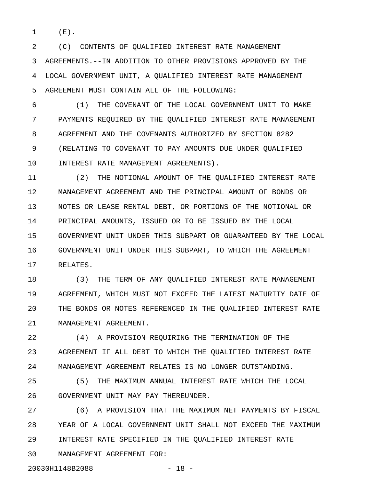1 (E).

2 (C) CONTENTS OF QUALIFIED INTEREST RATE MANAGEMENT 3 AGREEMENTS.--IN ADDITION TO OTHER PROVISIONS APPROVED BY THE 4 LOCAL GOVERNMENT UNIT, A QUALIFIED INTEREST RATE MANAGEMENT 5 AGREEMENT MUST CONTAIN ALL OF THE FOLLOWING:

6 (1) THE COVENANT OF THE LOCAL GOVERNMENT UNIT TO MAKE 7 PAYMENTS REQUIRED BY THE QUALIFIED INTEREST RATE MANAGEMENT 8 AGREEMENT AND THE COVENANTS AUTHORIZED BY SECTION 8282 9 (RELATING TO COVENANT TO PAY AMOUNTS DUE UNDER QUALIFIED 10 INTEREST RATE MANAGEMENT AGREEMENTS).

11 (2) THE NOTIONAL AMOUNT OF THE QUALIFIED INTEREST RATE 12 MANAGEMENT AGREEMENT AND THE PRINCIPAL AMOUNT OF BONDS OR 13 NOTES OR LEASE RENTAL DEBT, OR PORTIONS OF THE NOTIONAL OR 14 PRINCIPAL AMOUNTS, ISSUED OR TO BE ISSUED BY THE LOCAL 15 GOVERNMENT UNIT UNDER THIS SUBPART OR GUARANTEED BY THE LOCAL 16 GOVERNMENT UNIT UNDER THIS SUBPART, TO WHICH THE AGREEMENT 17 RELATES.

18 (3) THE TERM OF ANY QUALIFIED INTEREST RATE MANAGEMENT 19 AGREEMENT, WHICH MUST NOT EXCEED THE LATEST MATURITY DATE OF 20 THE BONDS OR NOTES REFERENCED IN THE QUALIFIED INTEREST RATE 21 MANAGEMENT AGREEMENT.

22 (4) A PROVISION REQUIRING THE TERMINATION OF THE 23 AGREEMENT IF ALL DEBT TO WHICH THE QUALIFIED INTEREST RATE 24 MANAGEMENT AGREEMENT RELATES IS NO LONGER OUTSTANDING.

25 (5) THE MAXIMUM ANNUAL INTEREST RATE WHICH THE LOCAL 26 GOVERNMENT UNIT MAY PAY THEREUNDER.

27 (6) A PROVISION THAT THE MAXIMUM NET PAYMENTS BY FISCAL 28 YEAR OF A LOCAL GOVERNMENT UNIT SHALL NOT EXCEED THE MAXIMUM 29 INTEREST RATE SPECIFIED IN THE QUALIFIED INTEREST RATE

30 MANAGEMENT AGREEMENT FOR:

20030H1148B2088 - 18 -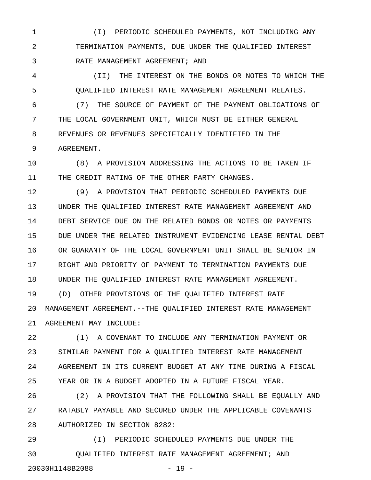1 (I) PERIODIC SCHEDULED PAYMENTS, NOT INCLUDING ANY 2 TERMINATION PAYMENTS, DUE UNDER THE QUALIFIED INTEREST 3 RATE MANAGEMENT AGREEMENT; AND

4 (II) THE INTEREST ON THE BONDS OR NOTES TO WHICH THE 5 QUALIFIED INTEREST RATE MANAGEMENT AGREEMENT RELATES.

6 (7) THE SOURCE OF PAYMENT OF THE PAYMENT OBLIGATIONS OF 7 THE LOCAL GOVERNMENT UNIT, WHICH MUST BE EITHER GENERAL 8 REVENUES OR REVENUES SPECIFICALLY IDENTIFIED IN THE 9 AGREEMENT.

10 (8) A PROVISION ADDRESSING THE ACTIONS TO BE TAKEN IF 11 THE CREDIT RATING OF THE OTHER PARTY CHANGES.

12 (9) A PROVISION THAT PERIODIC SCHEDULED PAYMENTS DUE 13 UNDER THE QUALIFIED INTEREST RATE MANAGEMENT AGREEMENT AND 14 DEBT SERVICE DUE ON THE RELATED BONDS OR NOTES OR PAYMENTS 15 DUE UNDER THE RELATED INSTRUMENT EVIDENCING LEASE RENTAL DEBT 16 OR GUARANTY OF THE LOCAL GOVERNMENT UNIT SHALL BE SENIOR IN 17 RIGHT AND PRIORITY OF PAYMENT TO TERMINATION PAYMENTS DUE 18 UNDER THE QUALIFIED INTEREST RATE MANAGEMENT AGREEMENT. 19 (D) OTHER PROVISIONS OF THE QUALIFIED INTEREST RATE 20 MANAGEMENT AGREEMENT.--THE QUALIFIED INTEREST RATE MANAGEMENT 21 AGREEMENT MAY INCLUDE:

22 (1) A COVENANT TO INCLUDE ANY TERMINATION PAYMENT OR 23 SIMILAR PAYMENT FOR A QUALIFIED INTEREST RATE MANAGEMENT 24 AGREEMENT IN ITS CURRENT BUDGET AT ANY TIME DURING A FISCAL 25 YEAR OR IN A BUDGET ADOPTED IN A FUTURE FISCAL YEAR.

26 (2) A PROVISION THAT THE FOLLOWING SHALL BE EQUALLY AND 27 RATABLY PAYABLE AND SECURED UNDER THE APPLICABLE COVENANTS 28 AUTHORIZED IN SECTION 8282:

29 (I) PERIODIC SCHEDULED PAYMENTS DUE UNDER THE 30 QUALIFIED INTEREST RATE MANAGEMENT AGREEMENT; AND 20030H1148B2088 - 19 -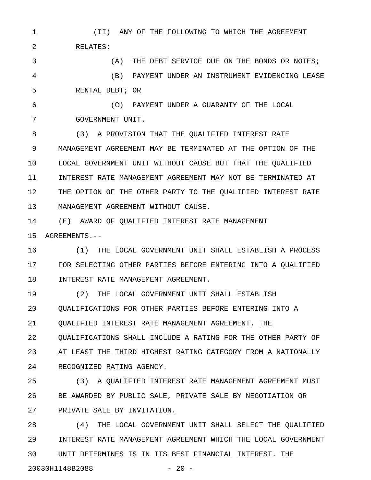1 (II) ANY OF THE FOLLOWING TO WHICH THE AGREEMENT 2 RELATES:

3 (A) THE DEBT SERVICE DUE ON THE BONDS OR NOTES; 4 (B) PAYMENT UNDER AN INSTRUMENT EVIDENCING LEASE 5 RENTAL DEBT; OR

6 (C) PAYMENT UNDER A GUARANTY OF THE LOCAL 7 GOVERNMENT UNIT.

8 (3) A PROVISION THAT THE QUALIFIED INTEREST RATE 9 MANAGEMENT AGREEMENT MAY BE TERMINATED AT THE OPTION OF THE 10 LOCAL GOVERNMENT UNIT WITHOUT CAUSE BUT THAT THE QUALIFIED 11 INTEREST RATE MANAGEMENT AGREEMENT MAY NOT BE TERMINATED AT 12 THE OPTION OF THE OTHER PARTY TO THE QUALIFIED INTEREST RATE 13 MANAGEMENT AGREEMENT WITHOUT CAUSE.

14 (E) AWARD OF QUALIFIED INTEREST RATE MANAGEMENT 15 AGREEMENTS.--

16 (1) THE LOCAL GOVERNMENT UNIT SHALL ESTABLISH A PROCESS 17 FOR SELECTING OTHER PARTIES BEFORE ENTERING INTO A QUALIFIED 18 INTEREST RATE MANAGEMENT AGREEMENT.

19 (2) THE LOCAL GOVERNMENT UNIT SHALL ESTABLISH 20 QUALIFICATIONS FOR OTHER PARTIES BEFORE ENTERING INTO A 21 QUALIFIED INTEREST RATE MANAGEMENT AGREEMENT. THE 22 QUALIFICATIONS SHALL INCLUDE A RATING FOR THE OTHER PARTY OF 23 AT LEAST THE THIRD HIGHEST RATING CATEGORY FROM A NATIONALLY 24 RECOGNIZED RATING AGENCY.

25 (3) A QUALIFIED INTEREST RATE MANAGEMENT AGREEMENT MUST 26 BE AWARDED BY PUBLIC SALE, PRIVATE SALE BY NEGOTIATION OR 27 PRIVATE SALE BY INVITATION.

28 (4) THE LOCAL GOVERNMENT UNIT SHALL SELECT THE QUALIFIED 29 INTEREST RATE MANAGEMENT AGREEMENT WHICH THE LOCAL GOVERNMENT 30 UNIT DETERMINES IS IN ITS BEST FINANCIAL INTEREST. THE

20030H1148B2088 - 20 -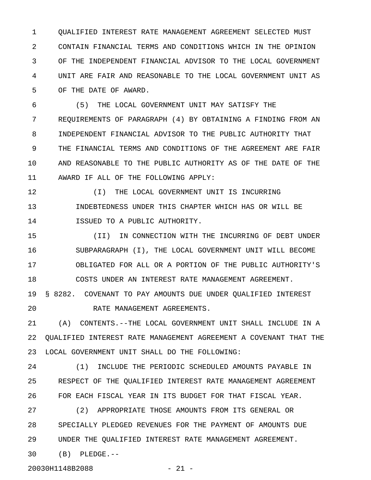1 QUALIFIED INTEREST RATE MANAGEMENT AGREEMENT SELECTED MUST 2 CONTAIN FINANCIAL TERMS AND CONDITIONS WHICH IN THE OPINION 3 OF THE INDEPENDENT FINANCIAL ADVISOR TO THE LOCAL GOVERNMENT 4 UNIT ARE FAIR AND REASONABLE TO THE LOCAL GOVERNMENT UNIT AS 5 OF THE DATE OF AWARD.

6 (5) THE LOCAL GOVERNMENT UNIT MAY SATISFY THE 7 REQUIREMENTS OF PARAGRAPH (4) BY OBTAINING A FINDING FROM AN 8 INDEPENDENT FINANCIAL ADVISOR TO THE PUBLIC AUTHORITY THAT 9 THE FINANCIAL TERMS AND CONDITIONS OF THE AGREEMENT ARE FAIR 10 AND REASONABLE TO THE PUBLIC AUTHORITY AS OF THE DATE OF THE 11 AWARD IF ALL OF THE FOLLOWING APPLY:

12  $(I)$  THE LOCAL GOVERNMENT UNIT IS INCURRING 13 INDEBTEDNESS UNDER THIS CHAPTER WHICH HAS OR WILL BE 14 ISSUED TO A PUBLIC AUTHORITY.

15 (II) IN CONNECTION WITH THE INCURRING OF DEBT UNDER 16 SUBPARAGRAPH (I), THE LOCAL GOVERNMENT UNIT WILL BECOME 17 OBLIGATED FOR ALL OR A PORTION OF THE PUBLIC AUTHORITY'S 18 COSTS UNDER AN INTEREST RATE MANAGEMENT AGREEMENT. 19 § 8282. COVENANT TO PAY AMOUNTS DUE UNDER QUALIFIED INTEREST

20 RATE MANAGEMENT AGREEMENTS.

21 (A) CONTENTS.--THE LOCAL GOVERNMENT UNIT SHALL INCLUDE IN A 22 QUALIFIED INTEREST RATE MANAGEMENT AGREEMENT A COVENANT THAT THE 23 LOCAL GOVERNMENT UNIT SHALL DO THE FOLLOWING:

24 (1) INCLUDE THE PERIODIC SCHEDULED AMOUNTS PAYABLE IN 25 RESPECT OF THE QUALIFIED INTEREST RATE MANAGEMENT AGREEMENT 26 FOR EACH FISCAL YEAR IN ITS BUDGET FOR THAT FISCAL YEAR.

27 (2) APPROPRIATE THOSE AMOUNTS FROM ITS GENERAL OR 28 SPECIALLY PLEDGED REVENUES FOR THE PAYMENT OF AMOUNTS DUE 29 UNDER THE QUALIFIED INTEREST RATE MANAGEMENT AGREEMENT.

30 (B) PLEDGE.--

20030H1148B2088 - 21 -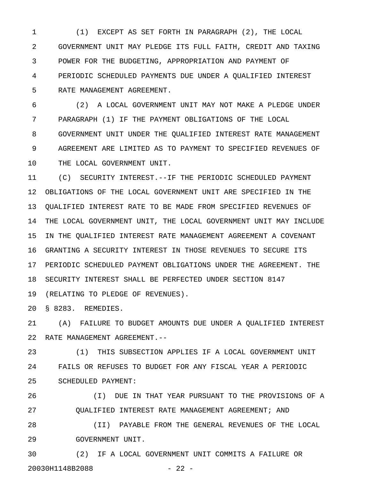1 (1) EXCEPT AS SET FORTH IN PARAGRAPH (2), THE LOCAL 2 GOVERNMENT UNIT MAY PLEDGE ITS FULL FAITH, CREDIT AND TAXING 3 POWER FOR THE BUDGETING, APPROPRIATION AND PAYMENT OF 4 PERIODIC SCHEDULED PAYMENTS DUE UNDER A QUALIFIED INTEREST 5 RATE MANAGEMENT AGREEMENT.

6 (2) A LOCAL GOVERNMENT UNIT MAY NOT MAKE A PLEDGE UNDER 7 PARAGRAPH (1) IF THE PAYMENT OBLIGATIONS OF THE LOCAL 8 GOVERNMENT UNIT UNDER THE QUALIFIED INTEREST RATE MANAGEMENT 9 AGREEMENT ARE LIMITED AS TO PAYMENT TO SPECIFIED REVENUES OF 10 THE LOCAL GOVERNMENT UNIT.

11 (C) SECURITY INTEREST.--IF THE PERIODIC SCHEDULED PAYMENT 12 OBLIGATIONS OF THE LOCAL GOVERNMENT UNIT ARE SPECIFIED IN THE 13 QUALIFIED INTEREST RATE TO BE MADE FROM SPECIFIED REVENUES OF 14 THE LOCAL GOVERNMENT UNIT, THE LOCAL GOVERNMENT UNIT MAY INCLUDE 15 IN THE QUALIFIED INTEREST RATE MANAGEMENT AGREEMENT A COVENANT 16 GRANTING A SECURITY INTEREST IN THOSE REVENUES TO SECURE ITS 17 PERIODIC SCHEDULED PAYMENT OBLIGATIONS UNDER THE AGREEMENT. THE 18 SECURITY INTEREST SHALL BE PERFECTED UNDER SECTION 8147 19 (RELATING TO PLEDGE OF REVENUES).

20 § 8283. REMEDIES.

21 (A) FAILURE TO BUDGET AMOUNTS DUE UNDER A QUALIFIED INTEREST 22 RATE MANAGEMENT AGREEMENT.--

23 (1) THIS SUBSECTION APPLIES IF A LOCAL GOVERNMENT UNIT 24 FAILS OR REFUSES TO BUDGET FOR ANY FISCAL YEAR A PERIODIC 25 SCHEDULED PAYMENT:

26 (I) DUE IN THAT YEAR PURSUANT TO THE PROVISIONS OF A 27 QUALIFIED INTEREST RATE MANAGEMENT AGREEMENT; AND

28 (II) PAYABLE FROM THE GENERAL REVENUES OF THE LOCAL 29 GOVERNMENT UNIT.

30 (2) IF A LOCAL GOVERNMENT UNIT COMMITS A FAILURE OR 20030H1148B2088 - 22 -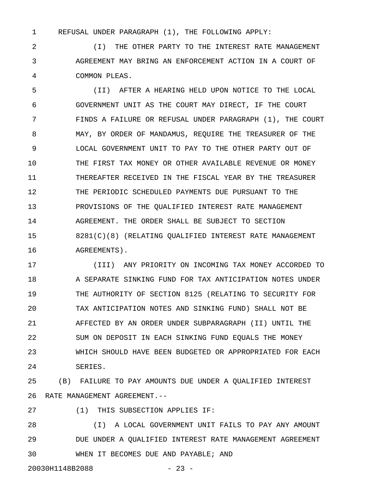1 REFUSAL UNDER PARAGRAPH (1), THE FOLLOWING APPLY:

2 (I) THE OTHER PARTY TO THE INTEREST RATE MANAGEMENT 3 AGREEMENT MAY BRING AN ENFORCEMENT ACTION IN A COURT OF 4 COMMON PLEAS.

5 (II) AFTER A HEARING HELD UPON NOTICE TO THE LOCAL 6 GOVERNMENT UNIT AS THE COURT MAY DIRECT, IF THE COURT 7 FINDS A FAILURE OR REFUSAL UNDER PARAGRAPH (1), THE COURT 8 MAY, BY ORDER OF MANDAMUS, REQUIRE THE TREASURER OF THE 9 LOCAL GOVERNMENT UNIT TO PAY TO THE OTHER PARTY OUT OF 10 THE FIRST TAX MONEY OR OTHER AVAILABLE REVENUE OR MONEY 11 THEREAFTER RECEIVED IN THE FISCAL YEAR BY THE TREASURER 12 THE PERIODIC SCHEDULED PAYMENTS DUE PURSUANT TO THE 13 PROVISIONS OF THE QUALIFIED INTEREST RATE MANAGEMENT 14 AGREEMENT. THE ORDER SHALL BE SUBJECT TO SECTION 15 8281(C)(8) (RELATING QUALIFIED INTEREST RATE MANAGEMENT 16 **AGREEMENTS**).

17 (III) ANY PRIORITY ON INCOMING TAX MONEY ACCORDED TO 18 A SEPARATE SINKING FUND FOR TAX ANTICIPATION NOTES UNDER 19 THE AUTHORITY OF SECTION 8125 (RELATING TO SECURITY FOR 20 TAX ANTICIPATION NOTES AND SINKING FUND) SHALL NOT BE 21 AFFECTED BY AN ORDER UNDER SUBPARAGRAPH (II) UNTIL THE 22 SUM ON DEPOSIT IN EACH SINKING FUND EQUALS THE MONEY 23 WHICH SHOULD HAVE BEEN BUDGETED OR APPROPRIATED FOR EACH 24 SERIES.

25 (B) FAILURE TO PAY AMOUNTS DUE UNDER A QUALIFIED INTEREST 26 RATE MANAGEMENT AGREEMENT.--

27 (1) THIS SUBSECTION APPLIES IF:

28 (I) A LOCAL GOVERNMENT UNIT FAILS TO PAY ANY AMOUNT 29 DUE UNDER A QUALIFIED INTEREST RATE MANAGEMENT AGREEMENT 30 WHEN IT BECOMES DUE AND PAYABLE; AND

20030H1148B2088 - 23 -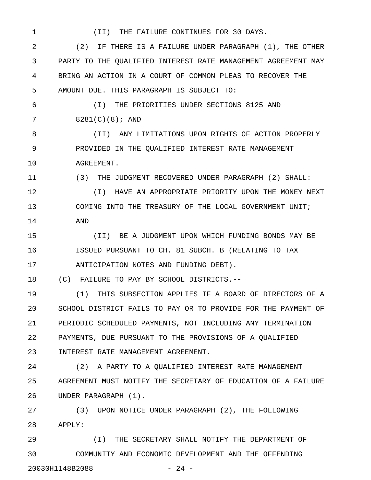1 (II) THE FAILURE CONTINUES FOR 30 DAYS.

2 (2) IF THERE IS A FAILURE UNDER PARAGRAPH (1), THE OTHER 3 PARTY TO THE QUALIFIED INTEREST RATE MANAGEMENT AGREEMENT MAY 4 BRING AN ACTION IN A COURT OF COMMON PLEAS TO RECOVER THE 5 AMOUNT DUE. THIS PARAGRAPH IS SUBJECT TO:

6 (I) THE PRIORITIES UNDER SECTIONS 8125 AND 7 8281(C)(8); AND

8 (II) ANY LIMITATIONS UPON RIGHTS OF ACTION PROPERLY 9 PROVIDED IN THE QUALIFIED INTEREST RATE MANAGEMENT 10 AGREEMENT.

11 (3) THE JUDGMENT RECOVERED UNDER PARAGRAPH (2) SHALL:

12 (I) HAVE AN APPROPRIATE PRIORITY UPON THE MONEY NEXT 13 COMING INTO THE TREASURY OF THE LOCAL GOVERNMENT UNIT; 14 AND

15 (II) BE A JUDGMENT UPON WHICH FUNDING BONDS MAY BE 16 ISSUED PURSUANT TO CH. 81 SUBCH. B (RELATING TO TAX 17 ANTICIPATION NOTES AND FUNDING DEBT).

18 (C) FAILURE TO PAY BY SCHOOL DISTRICTS.--

19 (1) THIS SUBSECTION APPLIES IF A BOARD OF DIRECTORS OF A 20 SCHOOL DISTRICT FAILS TO PAY OR TO PROVIDE FOR THE PAYMENT OF 21 PERIODIC SCHEDULED PAYMENTS, NOT INCLUDING ANY TERMINATION 22 PAYMENTS, DUE PURSUANT TO THE PROVISIONS OF A QUALIFIED 23 INTEREST RATE MANAGEMENT AGREEMENT.

24 (2) A PARTY TO A QUALIFIED INTEREST RATE MANAGEMENT 25 AGREEMENT MUST NOTIFY THE SECRETARY OF EDUCATION OF A FAILURE 26 UNDER PARAGRAPH (1).

27 (3) UPON NOTICE UNDER PARAGRAPH (2), THE FOLLOWING 28 APPLY:

29 (I) THE SECRETARY SHALL NOTIFY THE DEPARTMENT OF 30 COMMUNITY AND ECONOMIC DEVELOPMENT AND THE OFFENDING 20030H1148B2088 - 24 -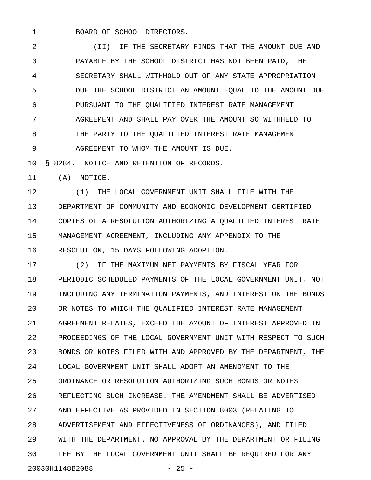1 BOARD OF SCHOOL DIRECTORS.

2 (II) IF THE SECRETARY FINDS THAT THE AMOUNT DUE AND 3 PAYABLE BY THE SCHOOL DISTRICT HAS NOT BEEN PAID, THE 4 SECRETARY SHALL WITHHOLD OUT OF ANY STATE APPROPRIATION 5 DUE THE SCHOOL DISTRICT AN AMOUNT EQUAL TO THE AMOUNT DUE 6 PURSUANT TO THE QUALIFIED INTEREST RATE MANAGEMENT 7 AGREEMENT AND SHALL PAY OVER THE AMOUNT SO WITHHELD TO 8 THE PARTY TO THE QUALIFIED INTEREST RATE MANAGEMENT 9 AGREEMENT TO WHOM THE AMOUNT IS DUE.

10 § 8284. NOTICE AND RETENTION OF RECORDS.

11 (A) NOTICE.--

12 (1) THE LOCAL GOVERNMENT UNIT SHALL FILE WITH THE 13 DEPARTMENT OF COMMUNITY AND ECONOMIC DEVELOPMENT CERTIFIED 14 COPIES OF A RESOLUTION AUTHORIZING A QUALIFIED INTEREST RATE 15 MANAGEMENT AGREEMENT, INCLUDING ANY APPENDIX TO THE 16 RESOLUTION, 15 DAYS FOLLOWING ADOPTION.

17 (2) IF THE MAXIMUM NET PAYMENTS BY FISCAL YEAR FOR 18 PERIODIC SCHEDULED PAYMENTS OF THE LOCAL GOVERNMENT UNIT, NOT 19 INCLUDING ANY TERMINATION PAYMENTS, AND INTEREST ON THE BONDS 20 OR NOTES TO WHICH THE QUALIFIED INTEREST RATE MANAGEMENT 21 AGREEMENT RELATES, EXCEED THE AMOUNT OF INTEREST APPROVED IN 22 PROCEEDINGS OF THE LOCAL GOVERNMENT UNIT WITH RESPECT TO SUCH 23 BONDS OR NOTES FILED WITH AND APPROVED BY THE DEPARTMENT, THE 24 LOCAL GOVERNMENT UNIT SHALL ADOPT AN AMENDMENT TO THE 25 ORDINANCE OR RESOLUTION AUTHORIZING SUCH BONDS OR NOTES 26 REFLECTING SUCH INCREASE. THE AMENDMENT SHALL BE ADVERTISED 27 AND EFFECTIVE AS PROVIDED IN SECTION 8003 (RELATING TO 28 ADVERTISEMENT AND EFFECTIVENESS OF ORDINANCES), AND FILED 29 WITH THE DEPARTMENT. NO APPROVAL BY THE DEPARTMENT OR FILING 30 FEE BY THE LOCAL GOVERNMENT UNIT SHALL BE REQUIRED FOR ANY 20030H1148B2088 - 25 -